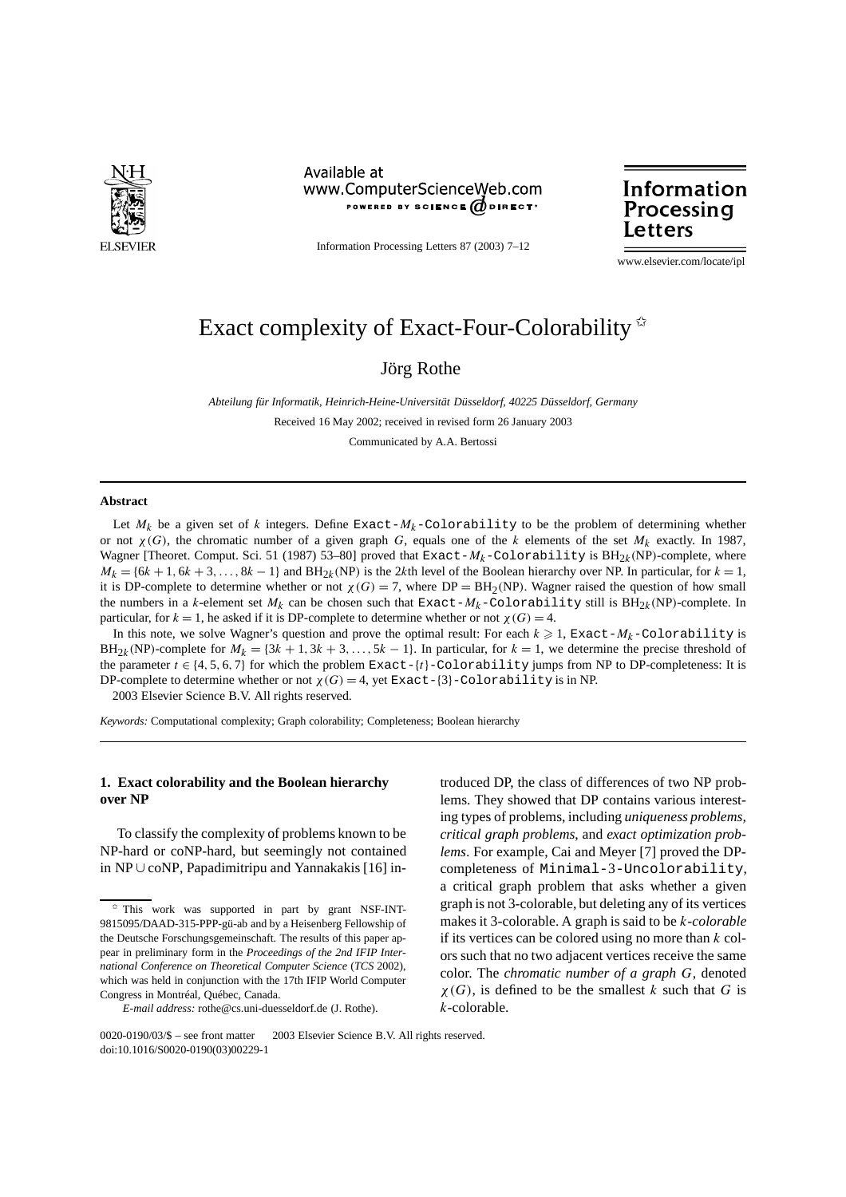

Available at www.ComputerScienceWeb.com POWERED BY SCIENCE @DIRECT<sup>®</sup>

Information Processing Letters 87 (2003) 7–12

Information Processing Letters

www.elsevier.com/locate/ipl

# Exact complexity of Exact-Four-Colorability  $*$

Jörg Rothe

*Abteilung für Informatik, Heinrich-Heine-Universität Düsseldorf, 40225 Düsseldorf, Germany* Received 16 May 2002; received in revised form 26 January 2003 Communicated by A.A. Bertossi

#### **Abstract**

Let  $M_k$  be a given set of *k* integers. Define Exact- $M_k$ -Colorability to be the problem of determining whether or not *χ (G)*, the chromatic number of a given graph *G*, equals one of the *k* elements of the set *Mk* exactly. In 1987, Wagner [Theoret. Comput. Sci. 51 (1987) 53–80] proved that Exact- $M_k$ -Colorability is BH<sub>2k</sub>(NP)-complete, where  $M_k = \{6k + 1, 6k + 3, \ldots, 8k - 1\}$  and  $BH_{2k}(NP)$  is the 2*k*th level of the Boolean hierarchy over NP. In particular, for  $k = 1$ , it is DP-complete to determine whether or not  $\chi(G) = 7$ , where DP = BH<sub>2</sub>(NP). Wagner raised the question of how small the numbers in a *k*-element set  $M_k$  can be chosen such that Exact- $M_k$ -Colorability still is  $BH_{2k}(NP)$ -complete. In particular, for  $k = 1$ , he asked if it is DP-complete to determine whether or not  $\chi(G) = 4$ .

In this note, we solve Wagner's question and prove the optimal result: For each  $k \geq 1$ , Exact- $M_k$ -Colorability is  $BH_{2k}(NP)$ -complete for  $M_k = \{3k + 1, 3k + 3, ..., 5k - 1\}$ . In particular, for  $k = 1$ , we determine the precise threshold of the parameter  $t \in \{4, 5, 6, 7\}$  for which the problem Exact- $\{t\}$ -Colorability jumps from NP to DP-completeness: It is DP-complete to determine whether or not  $\chi(G) = 4$ , yet Exact-{3}-Colorability is in NP. 2003 Elsevier Science B.V. All rights reserved.

*Keywords:* Computational complexity; Graph colorability; Completeness; Boolean hierarchy

## **1. Exact colorability and the Boolean hierarchy over NP**

To classify the complexity of problems known to be NP-hard or coNP-hard, but seemingly not contained in NP ∪ coNP, Papadimitripu and Yannakakis [16] in-

troduced DP, the class of differences of two NP problems. They showed that DP contains various interesting types of problems, including *uniqueness problems, critical graph problems*, and *exact optimization problems*. For example, Cai and Meyer [7] proved the DPcompleteness of Minimal-3-Uncolorability, a critical graph problem that asks whether a given graph is not 3-colorable, but deleting any of its vertices makes it 3-colorable. A graph is said to be *k-colorable* if its vertices can be colored using no more than *k* colors such that no two adjacent vertices receive the same color. The *chromatic number of a graph G*, denoted *χ (G)*, is defined to be the smallest *k* such that *G* is *k*-colorable.

<sup>✩</sup> This work was supported in part by grant NSF-INT-9815095/DAAD-315-PPP-gü-ab and by a Heisenberg Fellowship of the Deutsche Forschungsgemeinschaft. The results of this paper appear in preliminary form in the *Proceedings of the 2nd IFIP International Conference on Theoretical Computer Science* (*TCS* 2002), which was held in conjunction with the 17th IFIP World Computer Congress in Montréal, Québec, Canada.

*E-mail address:* rothe@cs.uni-duesseldorf.de (J. Rothe).

<sup>0020-0190/03/\$ –</sup> see front matter © 2003 Elsevier Science B.V. All rights reserved. doi:10.1016/S0020-0190(03)00229-1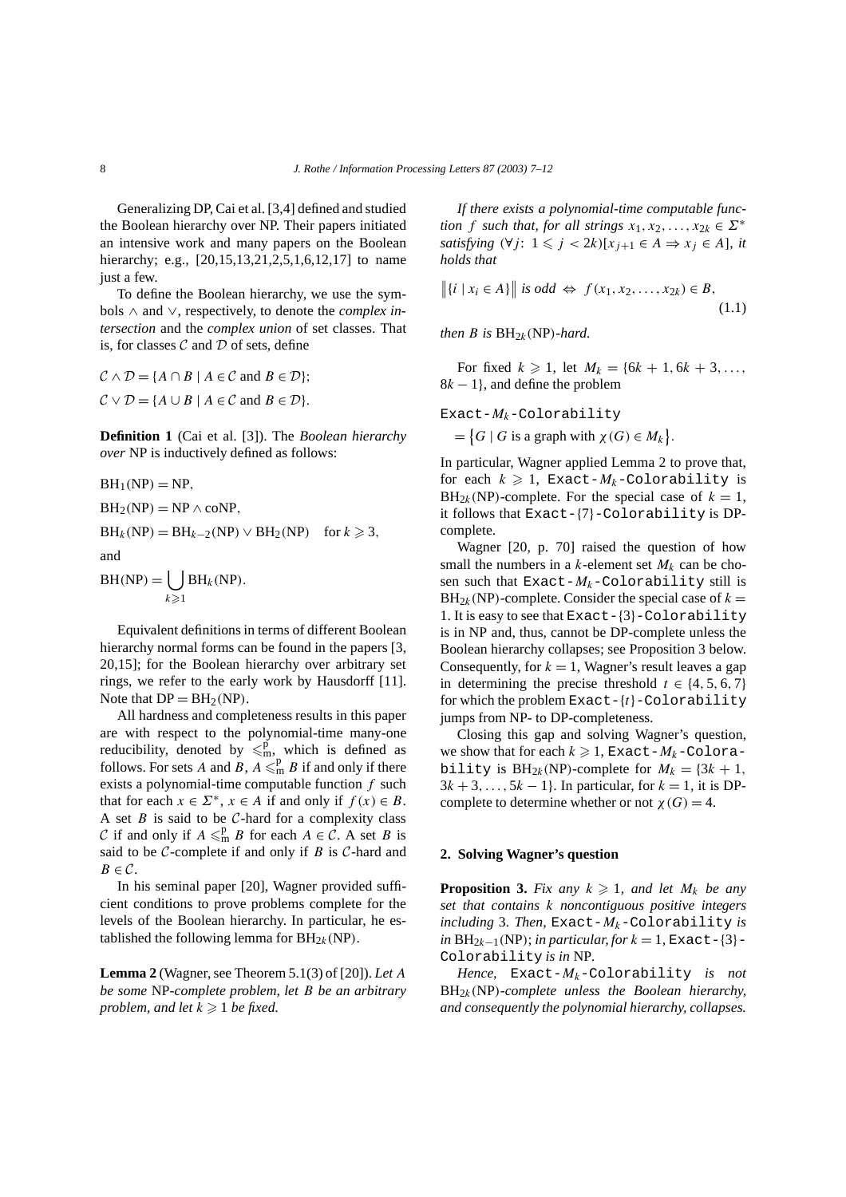Generalizing DP, Cai et al. [3,4] defined and studied the Boolean hierarchy over NP. Their papers initiated an intensive work and many papers on the Boolean hierarchy; e.g., [20,15,13,21,2,5,1,6,12,17] to name just a few.

To define the Boolean hierarchy, we use the symbols ∧ and ∨, respectively, to denote the *complex intersection* and the *complex union* of set classes. That is, for classes  $\mathcal C$  and  $\mathcal D$  of sets, define

 $\mathcal{C} \wedge \mathcal{D} = \{A \cap B \mid A \in \mathcal{C} \text{ and } B \in \mathcal{D}\};$  $C \vee D = \{A \cup B \mid A \in C \text{ and } B \in D\}.$ 

**Definition 1** (Cai et al. [3]). The *Boolean hierarchy over* NP is inductively defined as follows:

$$
BH1(NP) = NP,
$$
  
\n
$$
BH2(NP) = NP \wedge conP,
$$
  
\n
$$
BHk(NP) = BHk-2(NP) \vee BH2(NP) \text{ for } k \ge 3,
$$

and

 $BH(NP) = |$  $k \geqslant 1$ BH*k(*NP*).*

Equivalent definitions in terms of different Boolean hierarchy normal forms can be found in the papers [3, 20,15]; for the Boolean hierarchy over arbitrary set rings, we refer to the early work by Hausdorff [11]. Note that  $DP = BH<sub>2</sub>(NP)$ .

All hardness and completeness results in this paper are with respect to the polynomial-time many-one reducibility, denoted by  $\leq m$ , which is defined as follows. For sets *A* and *B*,  $A \leq m$  *B* if and only if there exists a polynomial-time computable function *f* such that for each  $x \in \Sigma^*$ ,  $x \in A$  if and only if  $f(x) \in B$ . A set  $B$  is said to be  $C$ -hard for a complexity class C if and only if  $A \leq^p_m B$  for each  $A \in \mathcal{C}$ . A set *B* is said to be  $C$ -complete if and only if  $B$  is  $C$ -hard and  $B \in \mathcal{C}$ .

In his seminal paper [20], Wagner provided sufficient conditions to prove problems complete for the levels of the Boolean hierarchy. In particular, he established the following lemma for  $BH_{2k}(NP)$ .

**Lemma 2** (Wagner, see Theorem 5.1(3) of [20]). *Let A be some* NP*-complete problem, let B be an arbitrary problem, and let*  $k \geq 1$  *be fixed.* 

*If there exists a polynomial-time computable function f such that, for all strings*  $x_1, x_2, ..., x_{2k} \in \Sigma^*$ *satisfying*  $(\forall j: 1 \leq j < 2k)$ [ $x_{j+1} \in A \Rightarrow x_j \in A$ ]*, it holds that*

$$
\| \{i \mid x_i \in A\} \| \text{ is odd } \Leftrightarrow f(x_1, x_2, \dots, x_{2k}) \in B,
$$
\n
$$
(1.1)
$$

*then B is*  $BH_{2k}(NP)$ *-hard.* 

For fixed  $k \ge 1$ , let  $M_k = \{6k + 1, 6k + 3, \ldots\}$ 8*k* − 1}, and define the problem

Exact-*Mk*-Colorability

 $=\{G \mid G \text{ is a graph with } \chi(G) \in M_k\}.$ 

In particular, Wagner applied Lemma 2 to prove that, for each  $k \geqslant 1$ , Exact- $M_k$ -Colorability is  $BH_{2k}(NP)$ -complete. For the special case of  $k = 1$ , it follows that Exact-{7}-Colorability is DPcomplete.

Wagner [20, p. 70] raised the question of how small the numbers in a  $k$ -element set  $M_k$  can be chosen such that  $Exact-M_k$ -Colorability still is  $BH_{2k}(NP)$ -complete. Consider the special case of  $k =$ 1. It is easy to see that Exact-{3}-Colorability is in NP and, thus, cannot be DP-complete unless the Boolean hierarchy collapses; see Proposition 3 below. Consequently, for  $k = 1$ , Wagner's result leaves a gap in determining the precise threshold  $t \in \{4, 5, 6, 7\}$ for which the problem Exact-{*t*}-Colorability jumps from NP- to DP-completeness.

Closing this gap and solving Wagner's question, we show that for each  $k \geqslant 1$ , Exact- $M_k$ -Colorability is  $BH_{2k}(NP)$ -complete for  $M_k = \{3k + 1,$  $3k + 3, \ldots, 5k - 1$ . In particular, for  $k = 1$ , it is DPcomplete to determine whether or not  $\chi(G) = 4$ .

### **2. Solving Wagner's question**

**Proposition 3.** *Fix any*  $k \ge 1$ *, and let*  $M_k$  *be any set that contains k noncontiguous positive integers including* 3*. Then,* Exact-*Mk*-Colorability *is*  $in BH_{2k-1}(NP)$ ; *in particular, for*  $k = 1$ , Exact-{3}-Colorability *is in* NP*.*

*Hence,* Exact-*Mk*-Colorability *is not* BH2*k(*NP*)-complete unless the Boolean hierarchy, and consequently the polynomial hierarchy, collapses.*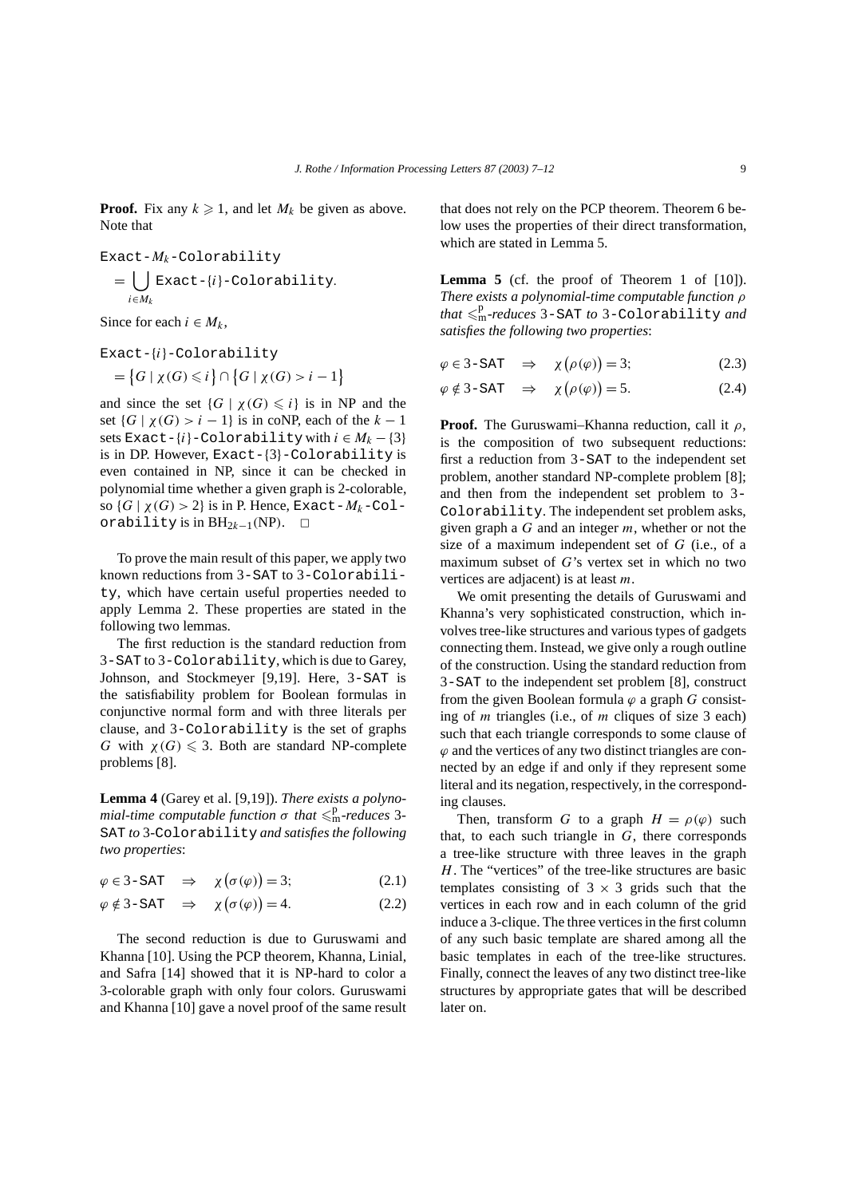**Proof.** Fix any  $k \ge 1$ , and let  $M_k$  be given as above. Note that

$$
\begin{aligned} \texttt{Exact-} & M_k\text{-Colorability} \\ &= \bigcup_{i \in M_k} \texttt{Exact-}\{i\} \text{-Colorability.} \end{aligned}
$$

Since for each  $i \in M_k$ ,

Exact-{*i*}-Colorability

$$
= \big\{ G \mid \chi(G) \leqslant i \big\} \cap \big\{ G \mid \chi(G) > i - 1 \big\}
$$

and since the set  $\{G \mid \chi(G) \leq i\}$  is in NP and the set  $\{G \mid \chi(G) > i - 1\}$  is in coNP, each of the  $k - 1$ sets Exact- $\{i\}$ -Colorability with  $i \in M_k - \{3\}$ is in DP. However, Exact-{3}-Colorability is even contained in NP, since it can be checked in polynomial time whether a given graph is 2-colorable, so  $\{G \mid \chi(G) > 2\}$  is in P. Hence, Exact- $M_k$ -Colorability is in  $BH_{2k-1}(NP)$ . □

To prove the main result of this paper, we apply two known reductions from 3-SAT to 3-Colorability, which have certain useful properties needed to apply Lemma 2. These properties are stated in the following two lemmas.

The first reduction is the standard reduction from 3-SAT to 3-Colorability, which is due to Garey, Johnson, and Stockmeyer [9,19]. Here, 3-SAT is the satisfiability problem for Boolean formulas in conjunctive normal form and with three literals per clause, and 3-Colorability is the set of graphs *G* with  $\chi(G) \leq 3$ . Both are standard NP-complete problems [8].

**Lemma 4** (Garey et al. [9,19]). *There exists a polyno* $mial-time$  *computable function*  $\sigma$  *that*  $\leqslant^p_m$ -reduces 3-SAT *to* 3*-*Colorability *and satisfies the following two properties*:

$$
\varphi \in 3-\text{SAT} \quad \Rightarrow \quad \chi(\sigma(\varphi)) = 3; \tag{2.1}
$$

$$
\varphi \notin 3-\text{SAT} \quad \Rightarrow \quad \chi(\sigma(\varphi)) = 4. \tag{2.2}
$$

The second reduction is due to Guruswami and Khanna [10]. Using the PCP theorem, Khanna, Linial, and Safra [14] showed that it is NP-hard to color a 3-colorable graph with only four colors. Guruswami and Khanna [10] gave a novel proof of the same result

that does not rely on the PCP theorem. Theorem 6 below uses the properties of their direct transformation, which are stated in Lemma 5.

Lemma 5 (cf. the proof of Theorem 1 of [10]). *There exists a polynomial-time computable function ρ that* -p <sup>m</sup>*-reduces* 3-SAT *to* 3-Colorability *and satisfies the following two properties*:

$$
\varphi \in 3\text{-SAT} \quad \Rightarrow \quad \chi(\rho(\varphi)) = 3; \tag{2.3}
$$

$$
\varphi \notin 3-\text{SAT} \quad \Rightarrow \quad \chi(\rho(\varphi)) = 5. \tag{2.4}
$$

**Proof.** The Guruswami–Khanna reduction, call it *ρ*, is the composition of two subsequent reductions: first a reduction from 3-SAT to the independent set problem, another standard NP-complete problem [8]; and then from the independent set problem to 3- Colorability. The independent set problem asks, given graph a *G* and an integer *m*, whether or not the size of a maximum independent set of *G* (i.e., of a maximum subset of *G*'s vertex set in which no two vertices are adjacent) is at least *m*.

We omit presenting the details of Guruswami and Khanna's very sophisticated construction, which involves tree-like structures and various types of gadgets connecting them. Instead, we give only a rough outline of the construction. Using the standard reduction from 3-SAT to the independent set problem [8], construct from the given Boolean formula  $\varphi$  a graph *G* consisting of *m* triangles (i.e., of *m* cliques of size 3 each) such that each triangle corresponds to some clause of  $\varphi$  and the vertices of any two distinct triangles are connected by an edge if and only if they represent some literal and its negation, respectively, in the corresponding clauses.

Then, transform *G* to a graph  $H = \rho(\varphi)$  such that, to each such triangle in  $G$ , there corresponds a tree-like structure with three leaves in the graph *H*. The "vertices" of the tree-like structures are basic templates consisting of  $3 \times 3$  grids such that the vertices in each row and in each column of the grid induce a 3-clique. The three vertices in the first column of any such basic template are shared among all the basic templates in each of the tree-like structures. Finally, connect the leaves of any two distinct tree-like structures by appropriate gates that will be described later on.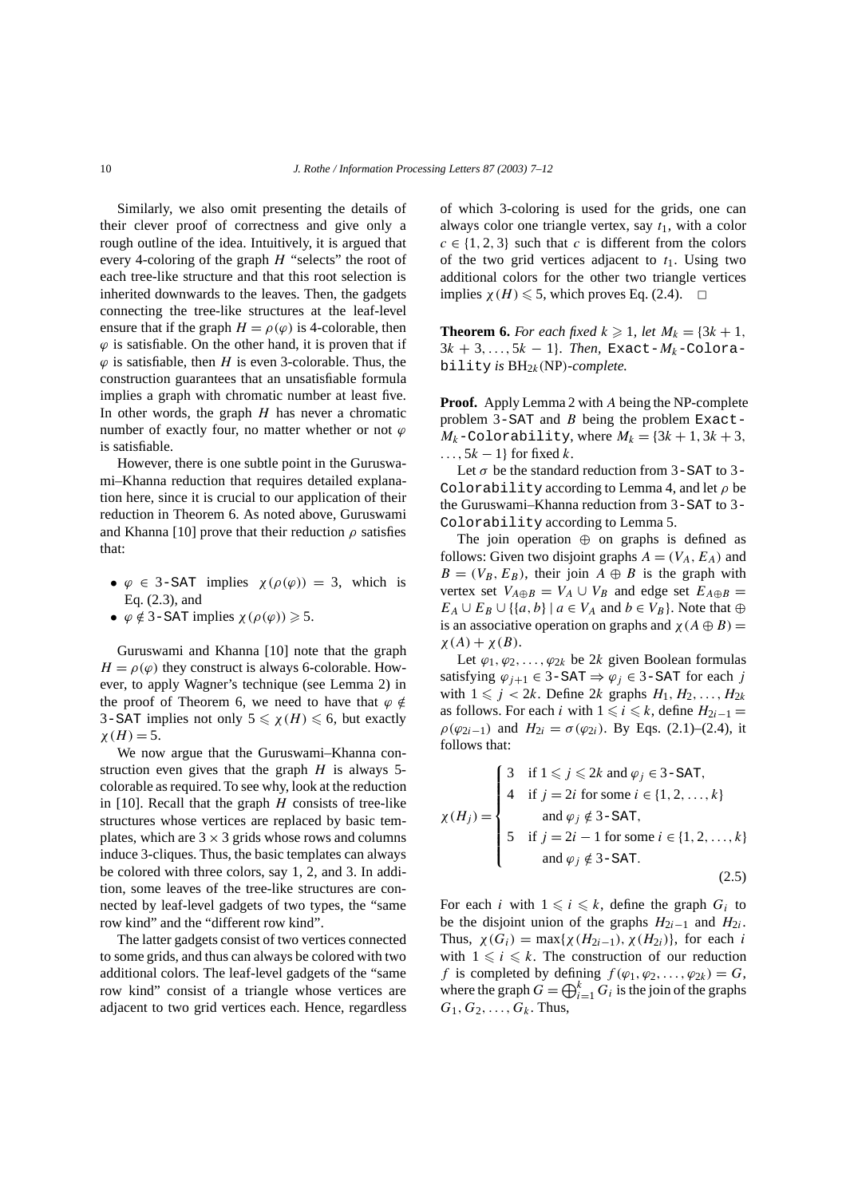Similarly, we also omit presenting the details of their clever proof of correctness and give only a rough outline of the idea. Intuitively, it is argued that every 4-coloring of the graph *H* "selects" the root of each tree-like structure and that this root selection is inherited downwards to the leaves. Then, the gadgets connecting the tree-like structures at the leaf-level ensure that if the graph  $H = \rho(\varphi)$  is 4-colorable, then  $\varphi$  is satisfiable. On the other hand, it is proven that if  $\varphi$  is satisfiable, then *H* is even 3-colorable. Thus, the construction guarantees that an unsatisfiable formula implies a graph with chromatic number at least five. In other words, the graph *H* has never a chromatic number of exactly four, no matter whether or not *ϕ* is satisfiable.

However, there is one subtle point in the Guruswami–Khanna reduction that requires detailed explanation here, since it is crucial to our application of their reduction in Theorem 6. As noted above, Guruswami and Khanna [10] prove that their reduction  $\rho$  satisfies that:

- $\varphi \in$  3-SAT implies  $\chi(\rho(\varphi)) = 3$ , which is Eq. (2.3), and
- $\phi \notin 3$ -SAT implies  $\chi(\rho(\varphi)) \geq 5$ .

Guruswami and Khanna [10] note that the graph  $H = \rho(\varphi)$  they construct is always 6-colorable. However, to apply Wagner's technique (see Lemma 2) in the proof of Theorem 6, we need to have that  $\varphi \notin$ 3–SAT implies not only  $5 \le \chi(H) \le 6$ , but exactly  $\chi(H) = 5.$ 

We now argue that the Guruswami–Khanna construction even gives that the graph *H* is always 5 colorable as required. To see why, look at the reduction in [10]. Recall that the graph *H* consists of tree-like structures whose vertices are replaced by basic templates, which are  $3 \times 3$  grids whose rows and columns induce 3-cliques. Thus, the basic templates can always be colored with three colors, say 1, 2, and 3. In addition, some leaves of the tree-like structures are connected by leaf-level gadgets of two types, the "same row kind" and the "different row kind".

The latter gadgets consist of two vertices connected to some grids, and thus can always be colored with two additional colors. The leaf-level gadgets of the "same row kind" consist of a triangle whose vertices are adjacent to two grid vertices each. Hence, regardless of which 3-coloring is used for the grids, one can always color one triangle vertex, say *t*1, with a color  $c \in \{1, 2, 3\}$  such that *c* is different from the colors of the two grid vertices adjacent to  $t_1$ . Using two additional colors for the other two triangle vertices implies  $\chi(H) \leq 5$ , which proves Eq. (2.4).  $\Box$ 

**Theorem 6.** *For each fixed*  $k \ge 1$ *, let*  $M_k = \{3k + 1,$  $3k + 3, ..., 5k - 1$ }. Then, Exact- $M_k$ -Colorability *is*  $BH_{2k}(NP)$ *-complete.* 

**Proof.** Apply Lemma 2 with *A* being the NP-complete problem 3-SAT and *B* being the problem Exact- $M_k$ -Colorability, where  $M_k = \{3k + 1, 3k + 3,$ *...,* 5*k* − 1} for fixed *k*.

Let  $\sigma$  be the standard reduction from 3-SAT to 3-Colorability according to Lemma 4, and let *ρ* be the Guruswami–Khanna reduction from 3-SAT to 3- Colorability according to Lemma 5.

The join operation  $oplus$  on graphs is defined as follows: Given two disjoint graphs  $A = (V_A, E_A)$  and  $B = (V_B, E_B)$ , their join  $A \oplus B$  is the graph with vertex set  $V_{A \oplus B} = V_A \cup V_B$  and edge set  $E_{A \oplus B} =$  $E_A \cup E_B \cup \{ \{a, b\} \mid a \in V_A \text{ and } b \in V_B \}.$  Note that  $\oplus$ is an associative operation on graphs and  $\chi(A \oplus B) =$  $\chi(A) + \chi(B)$ .

Let  $\varphi_1, \varphi_2, \ldots, \varphi_{2k}$  be 2*k* given Boolean formulas satisfying  $\varphi_{i+1}$  ∈ 3-SAT  $\Rightarrow \varphi_i$  ∈ 3-SAT for each *j* with  $1 \leq j < 2k$ . Define  $2k$  graphs  $H_1, H_2, \ldots, H_{2k}$ as follows. For each *i* with  $1 \leq i \leq k$ , define  $H_{2i-1} =$ *ρ*(*ϕ*<sub>2*i*−1</sub>) and *H*<sub>2*i*</sub> = *σ*(*ϕ*<sub>2*i*</sub>). By Eqs. (2.1)–(2.4), it follows that:

$$
\chi(H_j) = \begin{cases}\n3 & \text{if } 1 \leq j \leq 2k \text{ and } \varphi_j \in 3-\text{SAT}, \\
4 & \text{if } j = 2i \text{ for some } i \in \{1, 2, ..., k\} \\
\text{and } \varphi_j \notin 3-\text{SAT}, \\
5 & \text{if } j = 2i - 1 \text{ for some } i \in \{1, 2, ..., k\} \\
\text{and } \varphi_j \notin 3-\text{SAT}.\n\end{cases}
$$
\n(2.5)

For each *i* with  $1 \leq i \leq k$ , define the graph  $G_i$  to be the disjoint union of the graphs  $H_{2i-1}$  and  $H_{2i}$ . Thus,  $\chi(G_i) = \max\{\chi(H_{2i-1}), \chi(H_{2i})\}$ , for each *i* with  $1 \leq i \leq k$ . The construction of our reduction *f* is completed by defining  $f(\varphi_1, \varphi_2, \ldots, \varphi_{2k}) = G$ , where the graph  $G = \bigoplus_{i=1}^{k} G_i$  is the join of the graphs  $G_1, G_2, \ldots, G_k$ . Thus,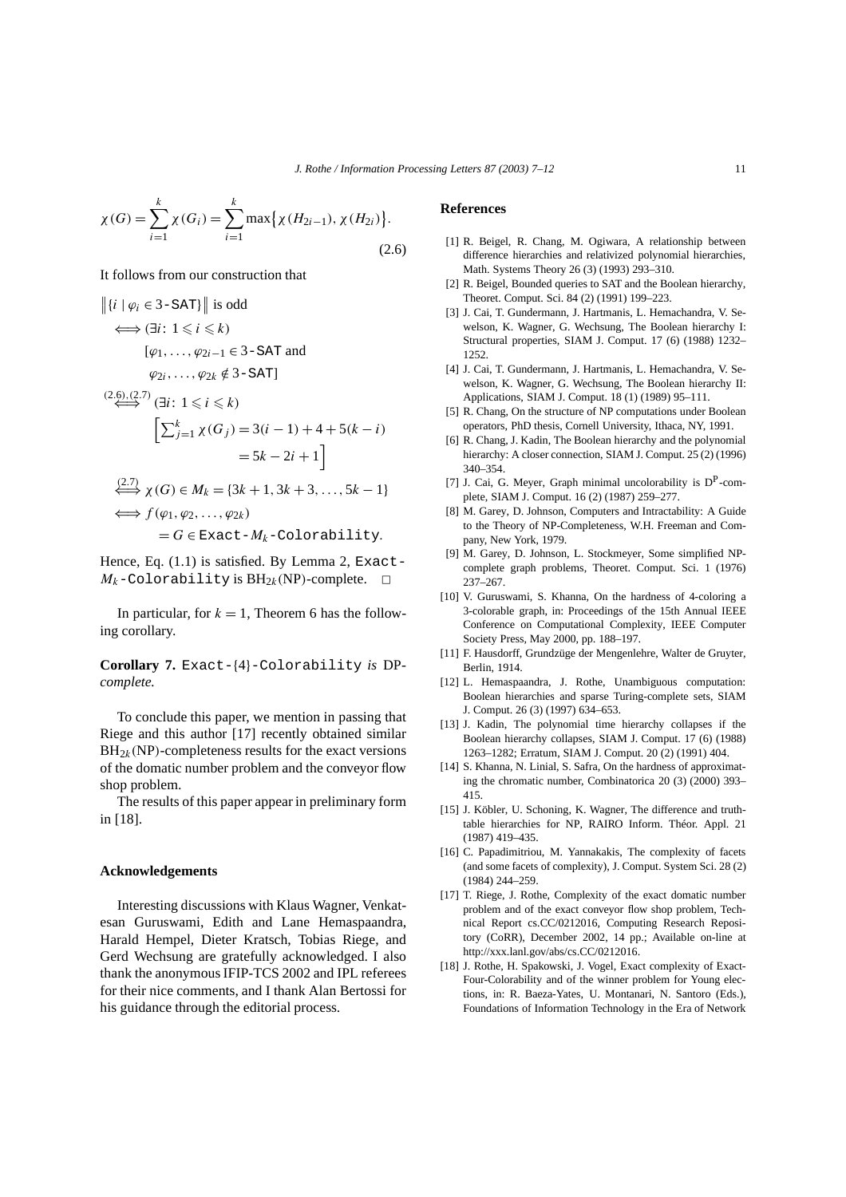$$
\chi(G) = \sum_{i=1}^{k} \chi(G_i) = \sum_{i=1}^{k} \max \{ \chi(H_{2i-1}), \chi(H_{2i}) \}.
$$
\n(2.6)

It follows from our construction that

$$
||\{i \mid \varphi_i \in 3\text{-SAT}\}|| \text{ is odd}
$$
\n
$$
\iff (\exists i : 1 \leq i \leq k)
$$
\n
$$
[\varphi_1, \dots, \varphi_{2i-1} \in 3\text{-SAT and}
$$
\n
$$
\varphi_{2i}, \dots, \varphi_{2k} \notin 3\text{-SAT}]
$$
\n
$$
\xrightarrow{(2.6),(2.7)} (\exists i : 1 \leq i \leq k)
$$
\n
$$
\left[\sum_{j=1}^k \chi(G_j) = 3(i-1) + 4 + 5(k-i) \right]
$$
\n
$$
= 5k - 2i + 1
$$
\n
$$
\xrightarrow{(2.7)} \chi(G) \in M_k = \{3k+1, 3k+3, \dots, 5k-1\}
$$
\n
$$
\iff f(\varphi_1, \varphi_2, \dots, \varphi_{2k})
$$
\n
$$
= G \in \text{Exact}-M_k-\text{Colorability.}
$$

Hence, Eq.  $(1.1)$  is satisfied. By Lemma 2, Exact- $M_k$ -Colorability is  $BH_{2k}(NP)$ -complete.  $\Box$ 

In particular, for  $k = 1$ , Theorem 6 has the following corollary.

**Corollary 7.** Exact-{4}-Colorability *is* DP*complete.*

To conclude this paper, we mention in passing that Riege and this author [17] recently obtained similar  $BH<sub>2k</sub>(NP)$ -completeness results for the exact versions of the domatic number problem and the conveyor flow shop problem.

The results of this paper appear in preliminary form in [18].

#### **Acknowledgements**

Interesting discussions with Klaus Wagner, Venkatesan Guruswami, Edith and Lane Hemaspaandra, Harald Hempel, Dieter Kratsch, Tobias Riege, and Gerd Wechsung are gratefully acknowledged. I also thank the anonymous IFIP-TCS 2002 and IPL referees for their nice comments, and I thank Alan Bertossi for his guidance through the editorial process.

### **References**

- [1] R. Beigel, R. Chang, M. Ogiwara, A relationship between difference hierarchies and relativized polynomial hierarchies, Math. Systems Theory 26 (3) (1993) 293–310.
- [2] R. Beigel, Bounded queries to SAT and the Boolean hierarchy, Theoret. Comput. Sci. 84 (2) (1991) 199–223.
- [3] J. Cai, T. Gundermann, J. Hartmanis, L. Hemachandra, V. Sewelson, K. Wagner, G. Wechsung, The Boolean hierarchy I: Structural properties, SIAM J. Comput. 17 (6) (1988) 1232– 1252.
- [4] J. Cai, T. Gundermann, J. Hartmanis, L. Hemachandra, V. Sewelson, K. Wagner, G. Wechsung, The Boolean hierarchy II: Applications, SIAM J. Comput. 18 (1) (1989) 95–111.
- [5] R. Chang, On the structure of NP computations under Boolean operators, PhD thesis, Cornell University, Ithaca, NY, 1991.
- [6] R. Chang, J. Kadin, The Boolean hierarchy and the polynomial hierarchy: A closer connection, SIAM J. Comput. 25 (2) (1996) 340–354.
- [7] J. Cai, G. Meyer, Graph minimal uncolorability is  $D^P$ -complete, SIAM J. Comput. 16 (2) (1987) 259–277.
- [8] M. Garey, D. Johnson, Computers and Intractability: A Guide to the Theory of NP-Completeness, W.H. Freeman and Company, New York, 1979.
- [9] M. Garey, D. Johnson, L. Stockmeyer, Some simplified NPcomplete graph problems, Theoret. Comput. Sci. 1 (1976) 237–267.
- [10] V. Guruswami, S. Khanna, On the hardness of 4-coloring a 3-colorable graph, in: Proceedings of the 15th Annual IEEE Conference on Computational Complexity, IEEE Computer Society Press, May 2000, pp. 188–197.
- [11] F. Hausdorff, Grundzüge der Mengenlehre, Walter de Gruyter, Berlin, 1914.
- [12] L. Hemaspaandra, J. Rothe, Unambiguous computation: Boolean hierarchies and sparse Turing-complete sets, SIAM J. Comput. 26 (3) (1997) 634–653.
- [13] J. Kadin, The polynomial time hierarchy collapses if the Boolean hierarchy collapses, SIAM J. Comput. 17 (6) (1988) 1263–1282; Erratum, SIAM J. Comput. 20 (2) (1991) 404.
- [14] S. Khanna, N. Linial, S. Safra, On the hardness of approximating the chromatic number, Combinatorica 20 (3) (2000) 393– 415.
- [15] J. Köbler, U. Schoning, K. Wagner, The difference and truthtable hierarchies for NP, RAIRO Inform. Théor. Appl. 21 (1987) 419–435.
- [16] C. Papadimitriou, M. Yannakakis, The complexity of facets (and some facets of complexity), J. Comput. System Sci. 28 (2) (1984) 244–259.
- [17] T. Riege, J. Rothe, Complexity of the exact domatic number problem and of the exact conveyor flow shop problem, Technical Report cs.CC/0212016, Computing Research Repository (CoRR), December 2002, 14 pp.; Available on-line at http://xxx.lanl.gov/abs/cs.CC/0212016.
- [18] J. Rothe, H. Spakowski, J. Vogel, Exact complexity of Exact-Four-Colorability and of the winner problem for Young elections, in: R. Baeza-Yates, U. Montanari, N. Santoro (Eds.), Foundations of Information Technology in the Era of Network